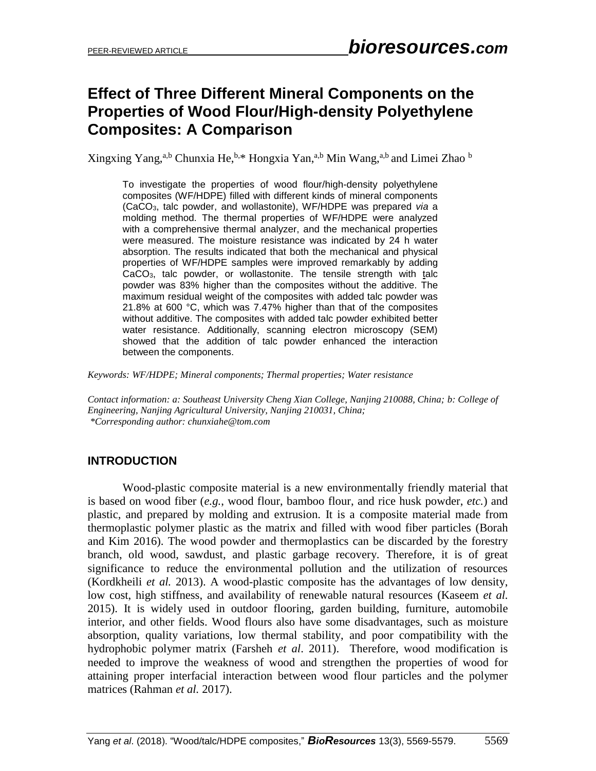# **Effect of Three Different Mineral Components on the Properties of Wood Flour/High-density Polyethylene Composites: A Comparison**

Xingxing Yang,<sup>a,b</sup> Chunxia He,<sup>b,\*</sup> Hongxia Yan,<sup>a,b</sup> Min Wang,<sup>a,b</sup> and Limei Zhao <sup>b</sup>

To investigate the properties of wood flour/high-density polyethylene composites (WF/HDPE) filled with different kinds of mineral components (CaCO3, talc powder, and wollastonite), WF/HDPE was prepared *via* a molding method. The thermal properties of WF/HDPE were analyzed with a comprehensive thermal analyzer, and the mechanical properties were measured. The moisture resistance was indicated by 24 h water absorption. The results indicated that both the mechanical and physical properties of WF/HDPE samples were improved remarkably by adding CaCO3, talc powder, or wollastonite. The tensile strength with talc powder was 83% higher than the composites without the additive. The maximum residual weight of the composites with added talc powder was 21.8% at 600 °C, which was 7.47% higher than that of the composites without additive. The composites with added talc powder exhibited better water resistance. Additionally, scanning electron microscopy (SEM) showed that the addition of talc powder enhanced the interaction between the components.

*Keywords: WF/HDPE; Mineral components; Thermal properties; Water resistance*

*Contact information: a: Southeast University Cheng Xian College, Nanjing 210088, China; b: College of Engineering, Nanjing Agricultural University, Nanjing 210031, China; \*Corresponding author: chunxiahe@tom.com*

## **INTRODUCTION**

Wood-plastic composite material is a new environmentally friendly material that is based on wood fiber (*e.g.*, wood flour, bamboo flour, and rice husk powder, *etc.*) and plastic, and prepared by molding and extrusion. It is a composite material made from thermoplastic polymer plastic as the matrix and filled with wood fiber particles (Borah and Kim 2016). The wood powder and thermoplastics can be discarded by the forestry branch, old wood, sawdust, and plastic garbage recovery. Therefore, it is of great significance to reduce the environmental pollution and the utilization of resources (Kordkheili *et al.* 2013). A wood-plastic composite has the advantages of low density, low cost, high stiffness, and availability of renewable natural resources (Kaseem *et al.* 2015). It is widely used in outdoor flooring, garden building, furniture, automobile interior, and other fields. Wood flours also have some disadvantages, such as moisture absorption, quality variations, low thermal stability, and poor compatibility with the hydrophobic polymer matrix (Farsheh *et al*. 2011). Therefore, wood modification is needed to improve the weakness of wood and strengthen the properties of wood for attaining proper interfacial interaction between wood flour particles and the polymer matrices (Rahman *et al.* 2017).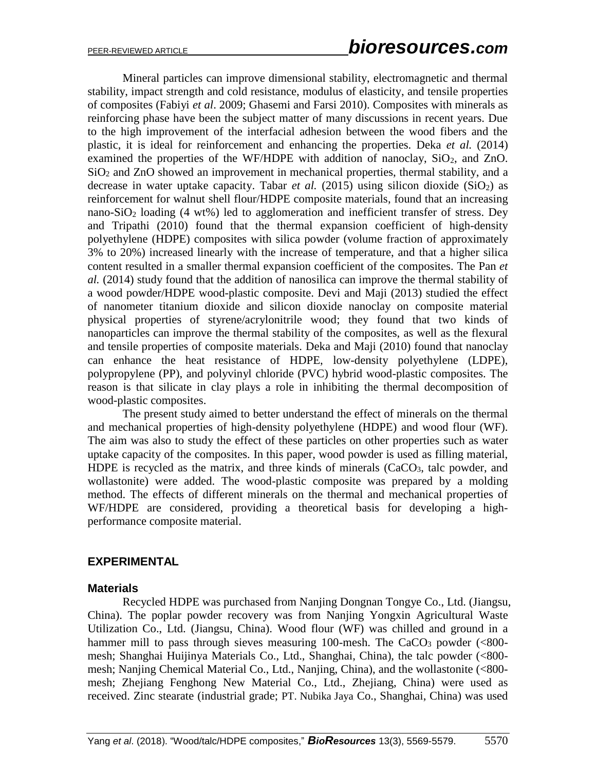Mineral particles can improve dimensional stability, electromagnetic and thermal stability, impact strength and cold resistance, modulus of elasticity, and tensile properties of composites (Fabiyi *et al*. 2009; Ghasemi and Farsi 2010). Composites with minerals as reinforcing phase have been the subject matter of many discussions in recent years. Due to the high improvement of the interfacial adhesion between the wood fibers and the plastic, it is ideal for reinforcement and enhancing the properties. Deka *et al.* (2014) examined the properties of the WF/HDPE with addition of nanoclay,  $SiO<sub>2</sub>$ , and ZnO.  $SiO<sub>2</sub>$  and  $ZnO$  showed an improvement in mechanical properties, thermal stability, and a decrease in water uptake capacity. Tabar *et al.* (2015) using silicon dioxide (SiO<sub>2</sub>) as reinforcement for walnut shell flour/HDPE composite materials, found that an increasing nano-SiO<sub>2</sub> loading  $(4 \text{ wt\%})$  led to agglomeration and inefficient transfer of stress. Dey and Tripathi (2010) found that the thermal expansion coefficient of high-density polyethylene (HDPE) composites with silica powder (volume fraction of approximately 3% to 20%) increased linearly with the increase of temperature, and that a higher silica content resulted in a smaller thermal expansion coefficient of the composites. The Pan *et al.* (2014) study found that the addition of nanosilica can improve the thermal stability of a wood powder/HDPE wood-plastic composite. Devi and Maji (2013) studied the effect of nanometer titanium dioxide and silicon dioxide nanoclay on composite material physical properties of styrene/acrylonitrile wood; they found that two kinds of nanoparticles can improve the thermal stability of the composites, as well as the flexural and tensile properties of composite materials. Deka and Maji (2010) found that nanoclay can enhance the heat resistance of HDPE, low-density polyethylene (LDPE), polypropylene (PP), and polyvinyl chloride (PVC) hybrid wood-plastic composites. The reason is that silicate in clay plays a role in inhibiting the thermal decomposition of wood-plastic composites.

The present study aimed to better understand the effect of minerals on the thermal and mechanical properties of high-density polyethylene (HDPE) and wood flour (WF). The aim was also to study the effect of these particles on other properties such as water uptake capacity of the composites. In this paper, wood powder is used as filling material, HDPE is recycled as the matrix, and three kinds of minerals  $(CaCO<sub>3</sub>)$ , talc powder, and wollastonite) were added. The wood-plastic composite was prepared by a molding method. The effects of different minerals on the thermal and mechanical properties of WF/HDPE are considered, providing a theoretical basis for developing a highperformance composite material.

## **EXPERIMENTAL**

#### **Materials**

Recycled HDPE was purchased from Nanjing Dongnan Tongye Co., Ltd. (Jiangsu, China). The poplar powder recovery was from Nanjing Yongxin Agricultural Waste Utilization Co., Ltd. (Jiangsu, China). Wood flour (WF) was chilled and ground in a hammer mill to pass through sieves measuring 100-mesh. The CaCO<sub>3</sub> powder  $(<800$ mesh; Shanghai Huijinya Materials Co., Ltd., Shanghai, China), the talc powder (<800 mesh; Nanjing Chemical Material Co., Ltd., Nanjing, China), and the wollastonite (<800 mesh; Zhejiang Fenghong New Material Co., Ltd., Zhejiang, China) were used as received. Zinc stearate (industrial grade; PT. Nubika Jaya Co., Shanghai, China) was used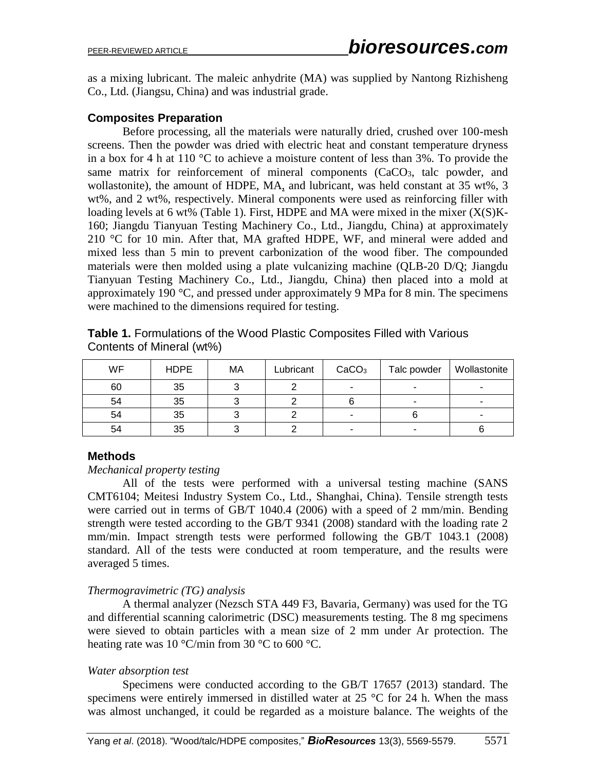as a mixing lubricant. The maleic anhydrite (MA) was supplied by Nantong Rizhisheng Co., Ltd. (Jiangsu, China) and was industrial grade.

## **Composites Preparation**

Before processing, all the materials were naturally dried, crushed over 100-mesh screens. Then the powder was dried with electric heat and constant temperature dryness in a box for 4 h at 110 °C to achieve a moisture content of less than 3%. To provide the same matrix for reinforcement of mineral components  $(CaCO<sub>3</sub>)$ , talc powder, and wollastonite), the amount of HDPE, MA, and lubricant, was held constant at 35 wt%, 3 wt%, and 2 wt%, respectively. Mineral components were used as reinforcing filler with loading levels at 6 wt% (Table 1). First, HDPE and MA were mixed in the mixer  $(X(S)K -$ 160; Jiangdu Tianyuan Testing Machinery Co., Ltd., Jiangdu, China) at approximately 210 °C for 10 min. After that, MA grafted HDPE, WF, and mineral were added and mixed less than 5 min to prevent carbonization of the wood fiber. The compounded materials were then molded using a plate vulcanizing machine (QLB-20 D/Q; Jiangdu Tianyuan Testing Machinery Co., Ltd., Jiangdu, China) then placed into a mold at approximately 190 °C, and pressed under approximately 9 MPa for 8 min. The specimens were machined to the dimensions required for testing.

| WF | <b>HDPE</b> | МA | Lubricant | CaCO <sub>3</sub> | Talc powder | Wollastonite |
|----|-------------|----|-----------|-------------------|-------------|--------------|
| 60 | 35          |    |           | -                 | -           |              |
| 54 | 35          |    |           |                   | ۰           |              |
| 54 | 35          |    |           | ۰                 |             |              |
| 54 | 35          |    |           |                   | -           |              |

**Table 1.** Formulations of the Wood Plastic Composites Filled with Various Contents of Mineral (wt%)

## **Methods**

#### *Mechanical property testing*

All of the tests were performed with a universal testing machine (SANS CMT6104; Meitesi Industry System Co., Ltd., Shanghai, China). Tensile strength tests were carried out in terms of GB/T 1040.4 (2006) with a speed of 2 mm/min. Bending strength were tested according to the GB/T 9341 (2008) standard with the loading rate 2 mm/min. Impact strength tests were performed following the GB/T 1043.1 (2008) standard. All of the tests were conducted at room temperature, and the results were averaged 5 times.

## *Thermogravimetric (TG) analysis*

A thermal analyzer (Nezsch STA 449 F3, Bavaria, Germany) was used for the TG and differential scanning calorimetric (DSC) measurements testing. The 8 mg specimens were sieved to obtain particles with a mean size of 2 mm under Ar protection. The heating rate was 10 °C/min from 30 °C to 600 °C.

## *Water absorption test*

Specimens were conducted according to the GB/T 17657 (2013) standard. The specimens were entirely immersed in distilled water at  $25 \text{ °C}$  for  $24$  h. When the mass was almost unchanged, it could be regarded as a moisture balance. The weights of the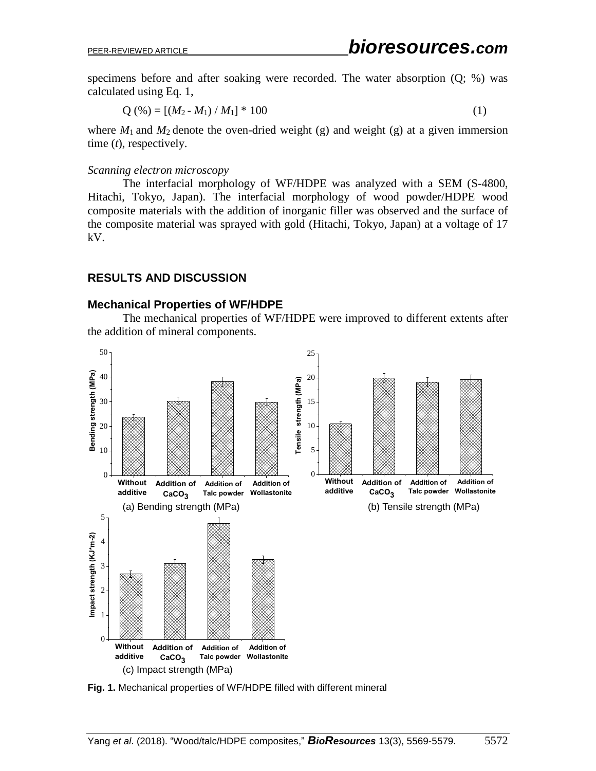specimens before and after soaking were recorded. The water absorption (Q; %) was calculated using Eq. 1,

$$
Q(\%) = [(M_2 - M_1) / M_1] * 100 \tag{1}
$$

where  $M_1$  and  $M_2$  denote the oven-dried weight (g) and weight (g) at a given immersion time (*t*), respectively.

#### *Scanning electron microscopy*

The interfacial morphology of WF/HDPE was analyzed with a SEM (S-4800, Hitachi, Tokyo, Japan). The interfacial morphology of wood powder/HDPE wood composite materials with the addition of inorganic filler was observed and the surface of the composite material was sprayed with gold (Hitachi, Tokyo, Japan) at a voltage of 17 kV.

## **RESULTS AND DISCUSSION**

#### **Mechanical Properties of WF/HDPE**

The mechanical properties of WF/HDPE were improved to different extents after the addition of mineral components.



**Fig. 1.** Mechanical properties of WF/HDPE filled with different mineral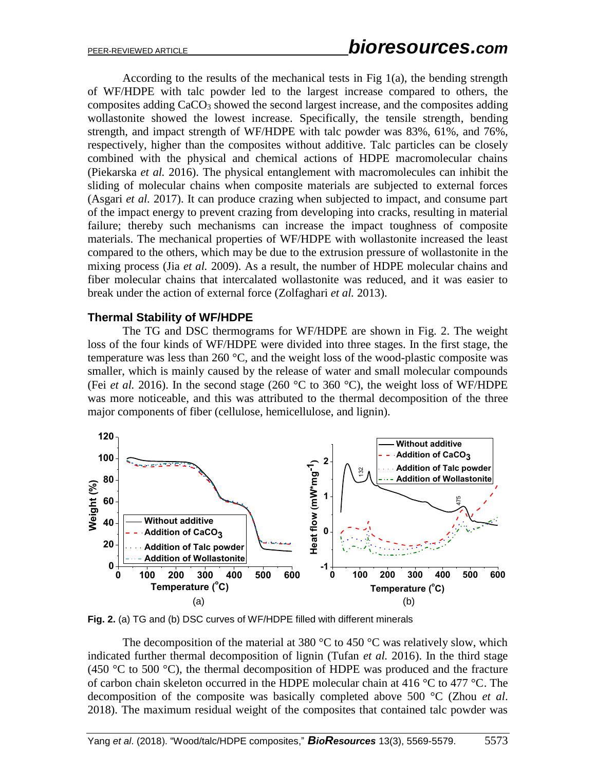According to the results of the mechanical tests in Fig  $1(a)$ , the bending strength of WF/HDPE with talc powder led to the largest increase compared to others, the composites adding CaCO<sub>3</sub> showed the second largest increase, and the composites adding wollastonite showed the lowest increase. Specifically, the tensile strength, bending strength, and impact strength of WF/HDPE with talc powder was 83%, 61%, and 76%, respectively, higher than the composites without additive. Talc particles can be closely combined with the physical and chemical actions of HDPE macromolecular chains (Piekarska *et al.* 2016). The physical entanglement with macromolecules can inhibit the sliding of molecular chains when composite materials are subjected to external forces (Asgari *et al.* 2017). It can produce crazing when subjected to impact, and consume part of the impact energy to prevent crazing from developing into cracks, resulting in material failure; thereby such mechanisms can increase the impact toughness of composite materials. The mechanical properties of WF/HDPE with wollastonite increased the least compared to the others, which may be due to the extrusion pressure of wollastonite in the mixing process (Jia *et al.* 2009). As a result, the number of HDPE molecular chains and fiber molecular chains that intercalated wollastonite was reduced, and it was easier to break under the action of external force (Zolfaghari *et al.* 2013).

#### **Thermal Stability of WF/HDPE**

The TG and DSC thermograms for WF/HDPE are shown in Fig. 2. The weight loss of the four kinds of WF/HDPE were divided into three stages. In the first stage, the temperature was less than 260 °C, and the weight loss of the wood-plastic composite was smaller, which is mainly caused by the release of water and small molecular compounds (Fei *et al.* 2016). In the second stage (260  $\degree$ C to 360  $\degree$ C), the weight loss of WF/HDPE was more noticeable, and this was attributed to the thermal decomposition of the three major components of fiber (cellulose, hemicellulose, and lignin).



**Fig. 2.** (a) TG and (b) DSC curves of WF/HDPE filled with different minerals

The decomposition of the material at 380  $\degree$ C to 450  $\degree$ C was relatively slow, which indicated further thermal decomposition of lignin (Tufan *et al.* 2016). In the third stage (450  $\degree$ C to 500  $\degree$ C), the thermal decomposition of HDPE was produced and the fracture of carbon chain skeleton occurred in the HDPE molecular chain at 416 °C to 477 °C. The decomposition of the composite was basically completed above 500 °C (Zhou *et al*. 2018). The maximum residual weight of the composites that contained talc powder was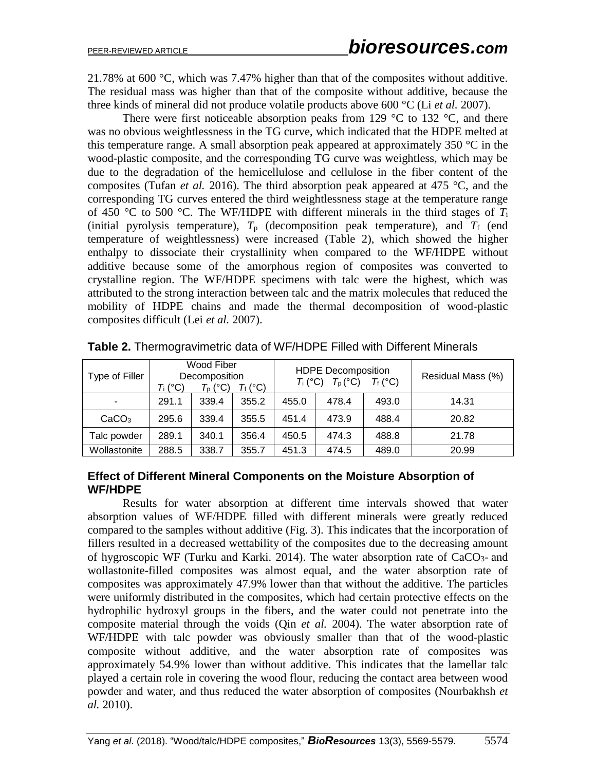21.78% at 600 °C, which was 7.47% higher than that of the composites without additive. The residual mass was higher than that of the composite without additive, because the three kinds of mineral did not produce volatile products above 600 °C (Li *et al.* 2007).

There were first noticeable absorption peaks from 129  $\degree$ C to 132  $\degree$ C, and there was no obvious weightlessness in the TG curve, which indicated that the HDPE melted at this temperature range. A small absorption peak appeared at approximately 350 °C in the wood-plastic composite, and the corresponding TG curve was weightless, which may be due to the degradation of the hemicellulose and cellulose in the fiber content of the composites (Tufan *et al.* 2016). The third absorption peak appeared at 475 °C, and the corresponding TG curves entered the third weightlessness stage at the temperature range of 450 °C to 500 °C. The WF/HDPE with different minerals in the third stages of  $T_i$ (initial pyrolysis temperature),  $T_p$  (decomposition peak temperature), and  $T_f$  (end temperature of weightlessness) were increased (Table 2), which showed the higher enthalpy to dissociate their crystallinity when compared to the WF/HDPE without additive because some of the amorphous region of composites was converted to crystalline region. The WF/HDPE specimens with talc were the highest, which was attributed to the strong interaction between talc and the matrix molecules that reduced the mobility of HDPE chains and made the thermal decomposition of wood-plastic composites difficult (Lei *et al.* 2007).

| Type of Filler    | Wood Fiber<br>Decomposition<br>Tf (°C)<br>Ti (°C)<br>$T_{\rm p}$ (°C) |       |       | <b>HDPE Decomposition</b><br>$T_{\rm p}$ (°C)<br>$T_f$ (°C)<br>$T_i$ (°C) |       |       | Residual Mass (%) |
|-------------------|-----------------------------------------------------------------------|-------|-------|---------------------------------------------------------------------------|-------|-------|-------------------|
| -                 | 291.1                                                                 | 339.4 | 355.2 | 455.0                                                                     | 478.4 | 493.0 | 14.31             |
| CaCO <sub>3</sub> | 295.6                                                                 | 339.4 | 355.5 | 451.4                                                                     | 473.9 | 488.4 | 20.82             |
| Talc powder       | 289.1                                                                 | 340.1 | 356.4 | 450.5                                                                     | 474.3 | 488.8 | 21.78             |
| Wollastonite      | 288.5                                                                 | 338.7 | 355.7 | 451.3                                                                     | 474.5 | 489.0 | 20.99             |

**Table 2.** Thermogravimetric data of WF/HDPE Filled with Different Minerals

## **Effect of Different Mineral Components on the Moisture Absorption of WF/HDPE**

Results for water absorption at different time intervals showed that water absorption values of WF/HDPE filled with different minerals were greatly reduced compared to the samples without additive (Fig. 3). This indicates that the incorporation of fillers resulted in a decreased wettability of the composites due to the decreasing amount of hygroscopic WF (Turku and Karki. 2014). The water absorption rate of  $CaCO<sub>3</sub>$ - and wollastonite-filled composites was almost equal, and the water absorption rate of composites was approximately 47.9% lower than that without the additive. The particles were uniformly distributed in the composites, which had certain protective effects on the hydrophilic hydroxyl groups in the fibers, and the water could not penetrate into the composite material through the voids (Qin *et al.* 2004). The water absorption rate of WF/HDPE with talc powder was obviously smaller than that of the wood-plastic composite without additive, and the water absorption rate of composites was approximately 54.9% lower than without additive. This indicates that the lamellar talc played a certain role in covering the wood flour, reducing the contact area between wood powder and water, and thus reduced the water absorption of composites (Nourbakhsh *et al.* 2010).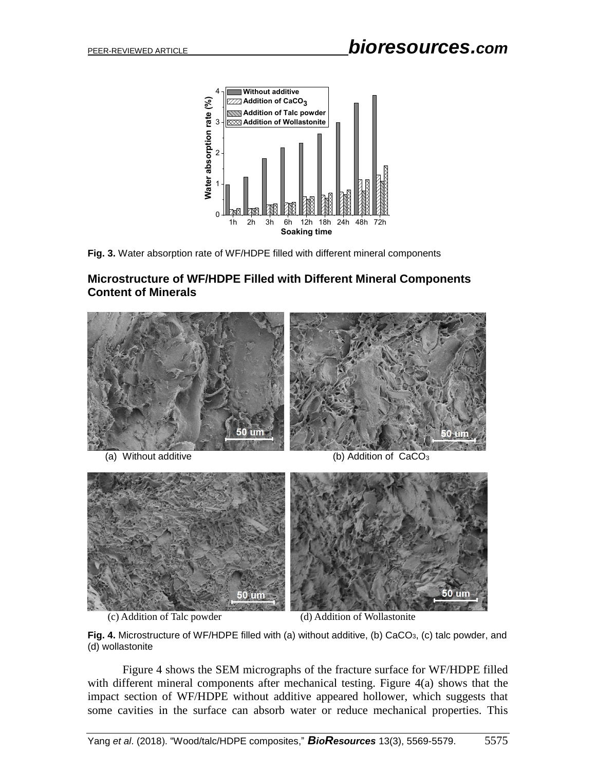



## **Microstructure of WF/HDPE Filled with Different Mineral Components Content of Minerals**



(c) Addition of Talc powder (d) Addition of Wollastonite

**Fig. 4.** Microstructure of WF/HDPE filled with (a) without additive, (b) CaCO<sub>3</sub>, (c) talc powder, and (d) wollastonite

Figure 4 shows the SEM micrographs of the fracture surface for WF/HDPE filled with different mineral components after mechanical testing. Figure 4(a) shows that the impact section of WF/HDPE without additive appeared hollower, which suggests that some cavities in the surface can absorb water or reduce mechanical properties. This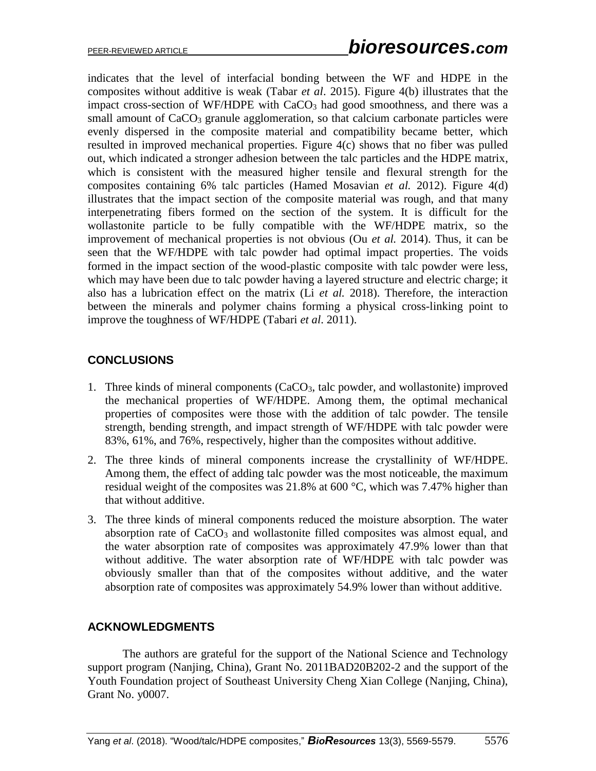indicates that the level of interfacial bonding between the WF and HDPE in the composites without additive is weak (Tabar *et al*. 2015). Figure 4(b) illustrates that the impact cross-section of WF/HDPE with CaCO<sub>3</sub> had good smoothness, and there was a small amount of  $CaCO<sub>3</sub>$  granule agglomeration, so that calcium carbonate particles were evenly dispersed in the composite material and compatibility became better, which resulted in improved mechanical properties. Figure 4(c) shows that no fiber was pulled out, which indicated a stronger adhesion between the talc particles and the HDPE matrix, which is consistent with the measured higher tensile and flexural strength for the composites containing 6% talc particles (Hamed Mosavian *et al.* 2012). Figure 4(d) illustrates that the impact section of the composite material was rough, and that many interpenetrating fibers formed on the section of the system. It is difficult for the wollastonite particle to be fully compatible with the WF/HDPE matrix, so the improvement of mechanical properties is not obvious (Ou *et al.* 2014). Thus, it can be seen that the WF/HDPE with talc powder had optimal impact properties. The voids formed in the impact section of the wood-plastic composite with talc powder were less, which may have been due to talc powder having a layered structure and electric charge; it also has a lubrication effect on the matrix (Li *et al.* 2018). Therefore, the interaction between the minerals and polymer chains forming a physical cross-linking point to improve the toughness of WF/HDPE (Tabari *et al*. 2011).

## **CONCLUSIONS**

- 1. Three kinds of mineral components (CaCO3, talc powder, and wollastonite) improved the mechanical properties of WF/HDPE. Among them, the optimal mechanical properties of composites were those with the addition of talc powder. The tensile strength, bending strength, and impact strength of WF/HDPE with talc powder were 83%, 61%, and 76%, respectively, higher than the composites without additive.
- 2. The three kinds of mineral components increase the crystallinity of WF/HDPE. Among them, the effect of adding talc powder was the most noticeable, the maximum residual weight of the composites was 21.8% at 600 °C, which was 7.47% higher than that without additive.
- 3. The three kinds of mineral components reduced the moisture absorption. The water absorption rate of  $CaCO<sub>3</sub>$  and wollastonite filled composites was almost equal, and the water absorption rate of composites was approximately 47.9% lower than that without additive. The water absorption rate of WF/HDPE with talc powder was obviously smaller than that of the composites without additive, and the water absorption rate of composites was approximately 54.9% lower than without additive.

## **ACKNOWLEDGMENTS**

The authors are grateful for the support of the National Science and Technology support program (Nanjing, China), Grant No. 2011BAD20B202-2 and the support of the Youth Foundation project of Southeast University Cheng Xian College (Nanjing, China), Grant No. y0007.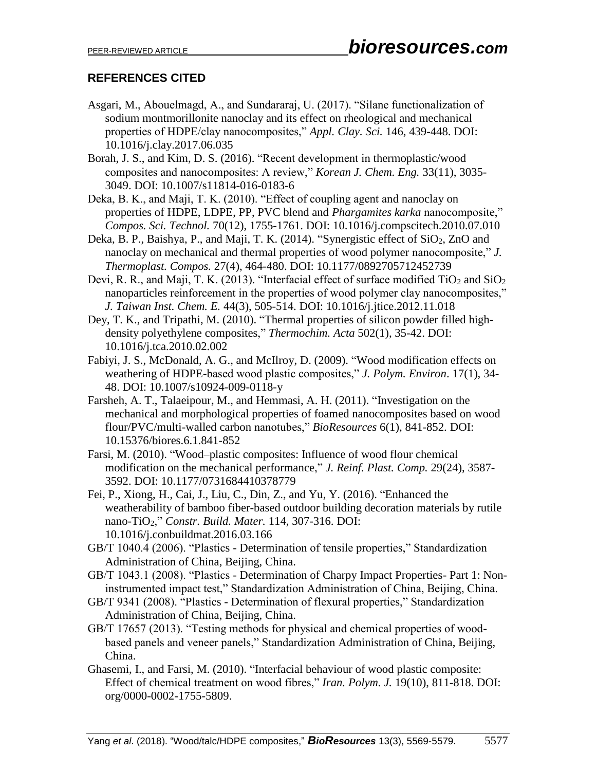# **REFERENCES CITED**

- Asgari, M., Abouelmagd, A., and Sundararaj, U. (2017). "Silane functionalization of sodium montmorillonite nanoclay and its effect on rheological and mechanical properties of HDPE/clay nanocomposites," *Appl. Clay. Sci.* 146, 439-448. DOI: 10.1016/j.clay.2017.06.035
- Borah, J. S., and Kim, D. S. (2016). "Recent development in thermoplastic/wood composites and nanocomposites: A review," *Korean J. Chem. Eng.* 33(11), 3035- 3049. DOI: 10.1007/s11814-016-0183-6
- Deka, B. K., and Maji, T. K. (2010). "Effect of coupling agent and nanoclay on properties of HDPE, LDPE, PP, PVC blend and *Phargamites karka* nanocomposite," *Compos. Sci. Technol.* 70(12), 1755-1761. DOI: 10.1016/j.compscitech.2010.07.010
- Deka, B. P., Baishya, P., and Maji, T. K. (2014). "Synergistic effect of SiO<sub>2</sub>, ZnO and nanoclay on mechanical and thermal properties of wood polymer nanocomposite," *J. Thermoplast. Compos.* 27(4), 464-480. DOI: 10.1177/0892705712452739
- Devi, R. R., and Maji, T. K. (2013). "Interfacial effect of surface modified  $TiO<sub>2</sub>$  and  $SiO<sub>2</sub>$ nanoparticles reinforcement in the properties of wood polymer clay nanocomposites," *J. Taiwan Inst. Chem. E.* 44(3), 505-514. DOI: 10.1016/j.jtice.2012.11.018
- Dey, T. K., and Tripathi, M. (2010). "Thermal properties of silicon powder filled highdensity polyethylene composites," *Thermochim. Acta* 502(1), 35-42. DOI: 10.1016/j.tca.2010.02.002
- Fabiyi, J. S., McDonald, A. G., and McIlroy, D. (2009). "Wood modification effects on weathering of HDPE-based wood plastic composites," *J. Polym. Environ*. 17(1), 34- 48. DOI: 10.1007/s10924-009-0118-y
- Farsheh, A. T., Talaeipour, M., and Hemmasi, A. H. (2011). "Investigation on the mechanical and morphological properties of foamed nanocomposites based on wood flour/PVC/multi-walled carbon nanotubes," *BioResources* 6(1), 841-852. DOI: 10.15376/biores.6.1.841-852
- Farsi, M. (2010). "Wood–plastic composites: Influence of wood flour chemical modification on the mechanical performance," *J. Reinf. Plast. Comp.* 29(24), 3587- 3592. DOI: 10.1177/0731684410378779
- Fei, P., Xiong, H., Cai, J., Liu, C., Din, Z., and Yu, Y. (2016). "Enhanced the weatherability of bamboo fiber-based outdoor building decoration materials by rutile nano-TiO2," *Constr. Build. Mater.* 114, 307-316. DOI: 10.1016/j.conbuildmat.2016.03.166
- GB/T 1040.4 (2006). "Plastics Determination of tensile properties," Standardization Administration of China, Beijing, China.
- GB/T 1043.1 (2008). "Plastics Determination of Charpy Impact Properties- Part 1: Noninstrumented impact test," Standardization Administration of China, Beijing, China.
- GB/T 9341 (2008). "Plastics Determination of flexural properties," Standardization Administration of China, Beijing, China.
- GB/T 17657 (2013). "Testing methods for physical and chemical properties of woodbased panels and veneer panels," Standardization Administration of China, Beijing, China.
- Ghasemi, I., and Farsi, M. (2010). "Interfacial behaviour of wood plastic composite: Effect of chemical treatment on wood fibres," *Iran. Polym. J.* 19(10), 811-818. DOI: org/0000-0002-1755-5809.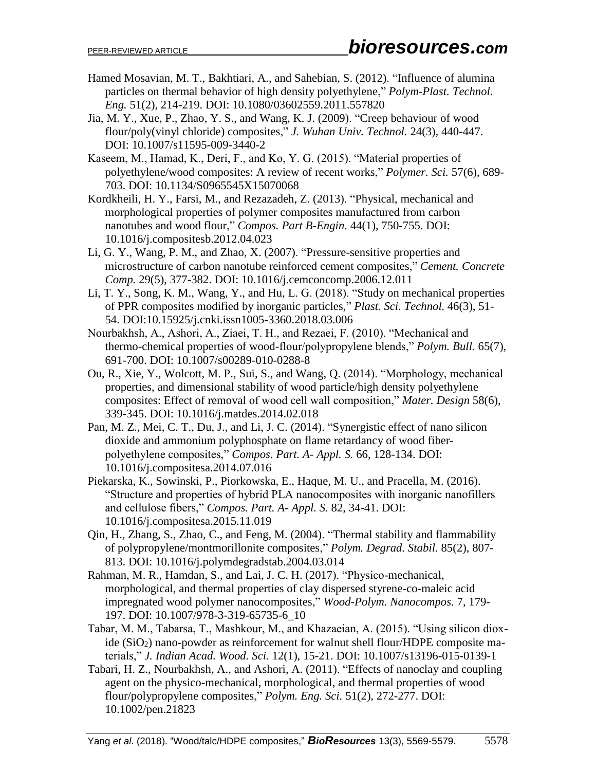- Hamed Mosavian, M. T., Bakhtiari, A., and Sahebian, S. (2012). "Influence of alumina particles on thermal behavior of high density polyethylene," *Polym-Plast. Technol. Eng.* 51(2), 214-219. DOI: 10.1080/03602559.2011.557820
- Jia, M. Y., Xue, P., Zhao, Y. S., and Wang, K. J. (2009). "Creep behaviour of wood flour/poly(vinyl chloride) composites," *J. Wuhan Univ. Technol.* 24(3), 440-447. DOI: 10.1007/s11595-009-3440-2
- Kaseem, M., Hamad, K., Deri, F., and Ko, Y. G. (2015). "Material properties of polyethylene/wood composites: A review of recent works," *Polymer. Sci.* 57(6), 689- 703. DOI: 10.1134/S0965545X15070068
- Kordkheili, H. Y., Farsi, M., and Rezazadeh, Z. (2013). "Physical, mechanical and morphological properties of polymer composites manufactured from carbon nanotubes and wood flour," *Compos. Part B-Engin.* 44(1), 750-755. DOI: 10.1016/j.compositesb.2012.04.023
- Li, G. Y., Wang, P. M., and Zhao, X. (2007). "Pressure-sensitive properties and microstructure of carbon nanotube reinforced cement composites," *Cement. Concrete Comp.* 29(5), 377-382. DOI: 10.1016/j.cemconcomp.2006.12.011
- Li, T. Y., Song, K. M., Wang, Y., and Hu, L. G. (2018). "Study on mechanical properties of PPR composites modified by inorganic particles," *Plast. Sci. Technol.* 46(3), 51- 54. DOI:10.15925/j.cnki.issn1005-3360.2018.03.006
- Nourbakhsh, A., Ashori, A., Ziaei, T. H., and Rezaei, F. (2010). "Mechanical and thermo-chemical properties of wood-flour/polypropylene blends," *Polym. Bull.* 65(7), 691-700. DOI: 10.1007/s00289-010-0288-8
- Ou, R., Xie, Y., Wolcott, M. P., Sui, S., and Wang, Q. (2014). "Morphology, mechanical properties, and dimensional stability of wood particle/high density polyethylene composites: Effect of removal of wood cell wall composition," *Mater. Design* 58(6), 339-345. DOI: 10.1016/j.matdes.2014.02.018
- Pan, M. Z., Mei, C. T., Du, J., and Li, J. C. (2014). "Synergistic effect of nano silicon dioxide and ammonium polyphosphate on flame retardancy of wood fiberpolyethylene composites," *Compos. Part. A- Appl. S.* 66, 128-134. DOI: 10.1016/j.compositesa.2014.07.016
- Piekarska, K., Sowinski, P., Piorkowska, E., Haque, M. U., and Pracella, M. (2016). "Structure and properties of hybrid PLA nanocomposites with inorganic nanofillers and cellulose fibers," *Compos. Part. A- Appl. S.* 82, 34-41. DOI: [10.1016/j.compositesa.2015.11.019](http://dx.doi.org/10.1016%2Fj.compositesa.2015.11.019)
- Qin, H., Zhang, S., Zhao, C., and Feng, M. (2004). "Thermal stability and flammability of polypropylene/montmorillonite composites," *Polym. Degrad. Stabil.* 85(2), 807- 813. DOI: 10.1016/j.polymdegradstab.2004.03.014
- Rahman, M. R., Hamdan, S., and Lai, J. C. H. (2017). "Physico-mechanical, morphological, and thermal properties of clay dispersed styrene-co-maleic acid impregnated wood polymer nanocomposites," *Wood-Polym. Nanocompos.* 7, 179- 197. DOI: 10.1007/978-3-319-65735-6\_10
- Tabar, M. M., Tabarsa, T., Mashkour, M., and Khazaeian, A. (2015). "Using silicon dioxide (SiO2) nano-powder as reinforcement for walnut shell flour/HDPE composite materials," *J. Indian Acad. Wood. Sci.* 12(1), 15-21. DOI: 10.1007/s13196-015-0139-1
- Tabari, H. Z., Nourbakhsh, A., and Ashori, A. (2011). "Effects of nanoclay and coupling agent on the physico-mechanical, morphological, and thermal properties of wood flour/polypropylene composites," *Polym. Eng. Sci.* 51(2), 272-277. DOI: 10.1002/pen.21823